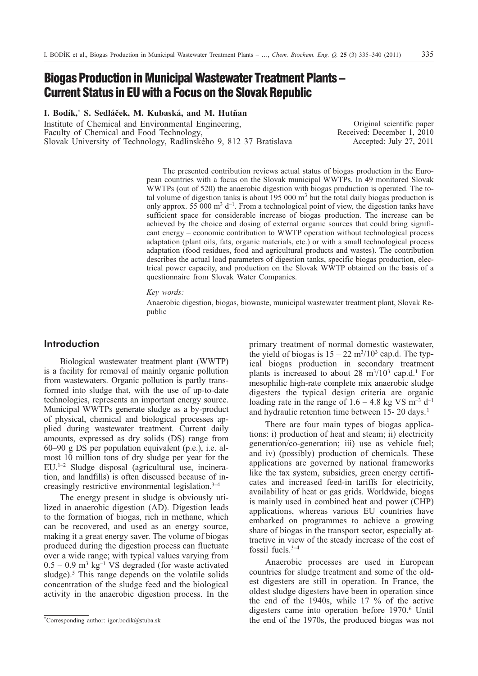## **Biogas Production in Municipal Wastewater Treatment Plants – Current Status in EU with a Focus on the Slovak Republic**

**I. Bodík,\* S. Sedláèek, M. Kubaská, and M. Hutòan**

Institute of Chemical and Environmental Engineering, Faculty of Chemical and Food Technology, Slovak University of Technology, Radlinského 9, 812 37 Bratislava

Original scientific paper Received: December 1, 2010 Accepted: July 27, 2011

The presented contribution reviews actual status of biogas production in the European countries with a focus on the Slovak municipal WWTPs. In 49 monitored Slovak WWTPs (out of 520) the anaerobic digestion with biogas production is operated. The total volume of digestion tanks is about  $195 000$  m<sup>3</sup> but the total daily biogas production is only approx. 55 000  $m^3$  d<sup>-1</sup>. From a technological point of view, the digestion tanks have sufficient space for considerable increase of biogas production. The increase can be achieved by the choice and dosing of external organic sources that could bring significant energy – economic contribution to WWTP operation without technological process adaptation (plant oils, fats, organic materials, etc.) or with a small technological process adaptation (food residues, food and agricultural products and wastes). The contribution describes the actual load parameters of digestion tanks, specific biogas production, electrical power capacity, and production on the Slovak WWTP obtained on the basis of a questionnaire from Slovak Water Companies.

*Key words:*

Anaerobic digestion, biogas, biowaste, municipal wastewater treatment plant, Slovak Republic

## **Introduction**

Biological wastewater treatment plant (WWTP) is a facility for removal of mainly organic pollution from wastewaters. Organic pollution is partly transformed into sludge that, with the use of up-to-date technologies, represents an important energy source. Municipal WWTPs generate sludge as a by-product of physical, chemical and biological processes applied during wastewater treatment. Current daily amounts, expressed as dry solids (DS) range from 60–90 g DS per population equivalent (p.e.), i.e. almost 10 million tons of dry sludge per year for the EU.1–2 Sludge disposal (agricultural use, incineration, and landfills) is often discussed because of increasingly restrictive environmental legislation.3–4

The energy present in sludge is obviously utilized in anaerobic digestion (AD). Digestion leads to the formation of biogas, rich in methane, which can be recovered, and used as an energy source, making it a great energy saver. The volume of biogas produced during the digestion process can fluctuate over a wide range; with typical values varying from  $0.5 - 0.9$  m<sup>3</sup> kg<sup>-1</sup> VS degraded (for waste activated sludge).<sup>5</sup> This range depends on the volatile solids concentration of the sludge feed and the biological activity in the anaerobic digestion process. In the primary treatment of normal domestic wastewater, the yield of biogas is  $15 - 22$  m<sup>3</sup>/10<sup>3</sup> cap.d. The typical biogas production in secondary treatment plants is increased to about 28 m<sup>3</sup>/10<sup>3</sup> cap.d.<sup>1</sup> For mesophilic high-rate complete mix anaerobic sludge digesters the typical design criteria are organic loading rate in the range of  $1.6 - 4.8$  kg VS m<sup>-3</sup> d<sup>-1</sup> and hydraulic retention time between 15- 20 days.<sup>1</sup>

There are four main types of biogas applications: i) production of heat and steam; ii) electricity generation/co-generation; iii) use as vehicle fuel; and iv) (possibly) production of chemicals. These applications are governed by national frameworks like the tax system, subsidies, green energy certificates and increased feed-in tariffs for electricity, availability of heat or gas grids. Worldwide, biogas is mainly used in combined heat and power (CHP) applications, whereas various EU countries have embarked on programmes to achieve a growing share of biogas in the transport sector, especially attractive in view of the steady increase of the cost of fossil fuels.3–4

Anaerobic processes are used in European countries for sludge treatment and some of the oldest digesters are still in operation. In France, the oldest sludge digesters have been in operation since the end of the 1940s, while 17 % of the active digesters came into operation before 1970.<sup>6</sup> Until the end of the 1970s, the produced biogas was not

<sup>\*</sup>Corresponding author: igor.bodik@stuba.sk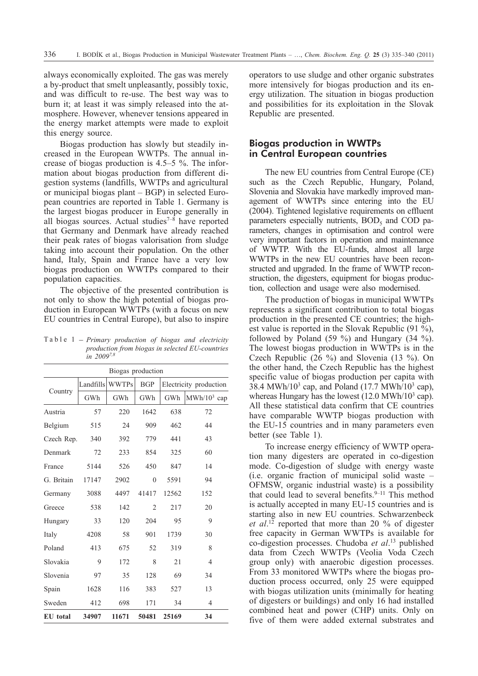always economically exploited. The gas was merely a by-product that smelt unpleasantly, possibly toxic, and was difficult to re-use. The best way was to burn it; at least it was simply released into the atmosphere. However, whenever tensions appeared in the energy market attempts were made to exploit this energy source.

Biogas production has slowly but steadily increased in the European WWTPs. The annual increase of biogas production is 4.5–5 %. The information about biogas production from different digestion systems (landfills, WWTPs and agricultural or municipal biogas plant – BGP) in selected European countries are reported in Table 1. Germany is the largest biogas producer in Europe generally in all biogas sources. Actual studies $7-8$  have reported that Germany and Denmark have already reached their peak rates of biogas valorisation from sludge taking into account their population. On the other hand, Italy, Spain and France have a very low biogas production on WWTPs compared to their population capacities.

The objective of the presented contribution is not only to show the high potential of biogas production in European WWTPs (with a focus on new<br>EU countries in Central Europe), but also to inspire<br>Table 1 – *Primary production of biogas and electricity* EU countries in Central Europe), but also to inspire

*production from biogas in selected EU-countries in 20097,8*

| Biogas production |           |              |                |                        |                |  |  |  |
|-------------------|-----------|--------------|----------------|------------------------|----------------|--|--|--|
| Country           | Landfills | <b>WWTPs</b> | <b>BGP</b>     | Electricity production |                |  |  |  |
|                   | GWh       | GWh          | GWh            | GWh                    | $MWh/10^3$ cap |  |  |  |
| Austria           | 57        | 220          | 1642           | 638                    | 72             |  |  |  |
| Belgium           | 515       | 24           | 909            | 462                    | 44             |  |  |  |
| Czech Rep.        | 340       | 392          | 779            | 441                    | 43             |  |  |  |
| Denmark           | 72        | 233          | 854            | 325                    | 60             |  |  |  |
| France            | 5144      | 526          | 450            | 847                    | 14             |  |  |  |
| G. Britain        | 17147     | 2902         | $\theta$       | 5591                   | 94             |  |  |  |
| Germany           | 3088      | 4497         | 41417          | 12562                  | 152            |  |  |  |
| Greece            | 538       | 142          | $\overline{c}$ | 217                    | 20             |  |  |  |
| Hungary           | 33        | 120          | 204            | 95                     | 9              |  |  |  |
| Italy             | 4208      | 58           | 901            | 1739                   | 30             |  |  |  |
| Poland            | 413       | 675          | 52             | 319                    | 8              |  |  |  |
| Slovakia          | 9         | 172          | 8              | 21                     | 4              |  |  |  |
| Slovenia          | 97        | 35           | 128            | 69                     | 34             |  |  |  |
| Spain             | 1628      | 116          | 383            | 527                    | 13             |  |  |  |
| Sweden            | 412       | 698          | 171            | 34                     | 4              |  |  |  |
| EU total          | 34907     | 11671        | 50481          | 25169                  | 34             |  |  |  |

operators to use sludge and other organic substrates more intensively for biogas production and its energy utilization. The situation in biogas production and possibilities for its exploitation in the Slovak Republic are presented.

## **Biogas production in WWTPs in Central European countries**

The new EU countries from Central Europe (CE) such as the Czech Republic, Hungary, Poland, Slovenia and Slovakia have markedly improved management of WWTPs since entering into the EU (2004). Tightened legislative requirements on effluent parameters especially nutrients,  $BOD<sub>5</sub>$  and COD parameters, changes in optimisation and control were very important factors in operation and maintenance of WWTP. With the EU-funds, almost all large WWTPs in the new EU countries have been reconstructed and upgraded. In the frame of WWTP reconstruction, the digesters, equipment for biogas production, collection and usage were also modernised.

The production of biogas in municipal WWTPs represents a significant contribution to total biogas production in the presented CE countries; the highest value is reported in the Slovak Republic (91 %), followed by Poland (59 %) and Hungary (34 %). The lowest biogas production in WWTPs is in the Czech Republic (26 %) and Slovenia (13 %). On the other hand, the Czech Republic has the highest specific value of biogas production per capita with 38.4 MWh/ $10^3$  cap, and Poland (17.7 MWh/ $10^3$  cap), whereas Hungary has the lowest  $(12.0 \text{ MWh}/10^3 \text{ cap})$ . All these statistical data confirm that CE countries have comparable WWTP biogas production with the EU-15 countries and in many parameters even better (see Table 1).

To increase energy efficiency of WWTP operation many digesters are operated in co-digestion mode. Co-digestion of sludge with energy waste (i.e. organic fraction of municipal solid waste – OFMSW, organic industrial waste) is a possibility that could lead to several benefits. $9-11$  This method is actually accepted in many EU-15 countries and is starting also in new EU countries. Schwarzenbeck *et al*. <sup>12</sup> reported that more than 20 % of digester free capacity in German WWTPs is available for co-digestion processes. Chudoba *et al*. <sup>13</sup> published data from Czech WWTPs (Veolia Voda Czech group only) with anaerobic digestion processes. From 33 monitored WWTPs where the biogas production process occurred, only 25 were equipped with biogas utilization units (minimally for heating of digesters or buildings) and only 16 had installed combined heat and power (CHP) units. Only on five of them were added external substrates and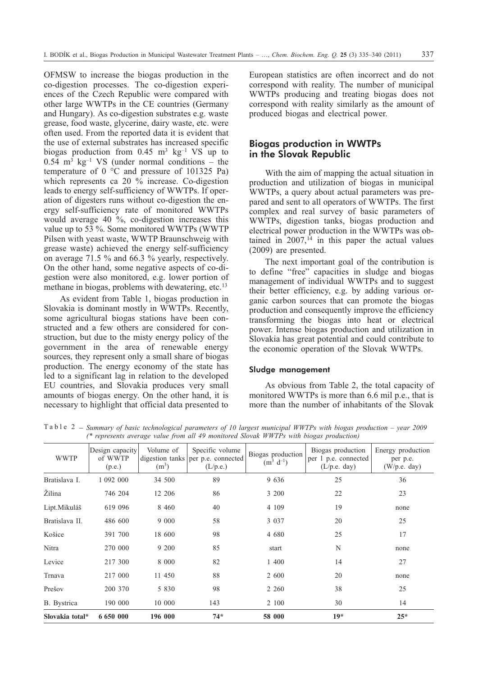OFMSW to increase the biogas production in the co-digestion processes. The co-digestion experiences of the Czech Republic were compared with other large WWTPs in the CE countries (Germany and Hungary). As co-digestion substrates e.g. waste grease, food waste, glycerine, dairy waste, etc. were often used. From the reported data it is evident that the use of external substrates has increased specific biogas production from  $0.45 \text{ m}^3 \text{ kg}^{-1} \text{ VS}$  up to  $0.54$  m<sup>3</sup> kg<sup>-1</sup> VS (under normal conditions – the temperature of 0 °C and pressure of 101325 Pa) which represents ca 20 % increase. Co-digestion leads to energy self-sufficiency of WWTPs. If operation of digesters runs without co-digestion the energy self-sufficiency rate of monitored WWTPs would average 40 %, co-digestion increases this value up to 53 %. Some monitored WWTPs (WWTP Pilsen with yeast waste, WWTP Braunschweig with grease waste) achieved the energy self-sufficiency on average 71.5 % and 66.3 % yearly, respectively. On the other hand, some negative aspects of co-digestion were also monitored, e.g. lower portion of methane in biogas, problems with dewatering, etc.<sup>13</sup>

As evident from Table 1, biogas production in Slovakia is dominant mostly in WWTPs. Recently, some agricultural biogas stations have been constructed and a few others are considered for construction, but due to the misty energy policy of the government in the area of renewable energy sources, they represent only a small share of biogas production. The energy economy of the state has led to a significant lag in relation to the developed EU countries, and Slovakia produces very small amounts of biogas energy. On the other hand, it is necessary to highlight that official data presented to European statistics are often incorrect and do not correspond with reality. The number of municipal WWTPs producing and treating biogas does not correspond with reality similarly as the amount of produced biogas and electrical power.

## **Biogas production in WWTPs in the Slovak Republic**

With the aim of mapping the actual situation in production and utilization of biogas in municipal WWTPs, a query about actual parameters was prepared and sent to all operators of WWTPs. The first complex and real survey of basic parameters of WWTPs, digestion tanks, biogas production and electrical power production in the WWTPs was obtained in  $2007$ , <sup>14</sup> in this paper the actual values (2009) are presented.

The next important goal of the contribution is to define "free" capacities in sludge and biogas management of individual WWTPs and to suggest their better efficiency, e.g. by adding various organic carbon sources that can promote the biogas production and consequently improve the efficiency transforming the biogas into heat or electrical power. Intense biogas production and utilization in Slovakia has great potential and could contribute to the economic operation of the Slovak WWTPs.

#### Sludge management

As obvious from Table 2, the total capacity of monitored WWTPs is more than 6.6 mil p.e., that is more than the number of inhabitants of the Slovak

Table 2 – *Summary of basic technological parameters of 10 largest municipal WWTPs with biogas production – year 2009 (\* represents average value from all 49 monitored Slovak WWTPs with biogas production)*

| Slovakia total* | 6 650 000                            | 196 000                                 | $74*$                                             | 58 000                              | $19*$                                                       | $25*$                                           |
|-----------------|--------------------------------------|-----------------------------------------|---------------------------------------------------|-------------------------------------|-------------------------------------------------------------|-------------------------------------------------|
| B. Bystrica     | 190 000                              | 10 000                                  | 143                                               | 2 100                               | 30                                                          | 14                                              |
| Prešov          | 200 370                              | 5 8 3 0                                 | 98                                                | 2 2 6 0                             | 38                                                          | 25                                              |
| Trnava          | 217 000                              | 11 450                                  | 88                                                | 2 600                               | 20                                                          | none                                            |
| Levice          | 217 300                              | 8 0 0 0                                 | 82                                                | 1 400                               | 14                                                          | 27                                              |
| Nitra           | 270 000                              | 9 200                                   | 85                                                | start                               | N                                                           | none                                            |
| Košice          | 391 700                              | 18 600                                  | 98                                                | 4 680                               | 25                                                          | 17                                              |
| Bratislava II.  | 486 600                              | 9 0 0 0                                 | 58                                                | 3 0 3 7                             | 20                                                          | 25                                              |
| Lipt.Mikuláš    | 619 096                              | 8 4 6 0                                 | 40                                                | 4 1 0 9                             | 19                                                          | none                                            |
| Žilina          | 746 204                              | 12 20 6                                 | 86                                                | 3 200                               | 22                                                          | 23                                              |
| Bratislava I.   | 1 092 000                            | 34 500                                  | 89                                                | 9 6 3 6                             | 25                                                          | 36                                              |
| <b>WWTP</b>     | Design capacity<br>of WWTP<br>(p.e.) | Volume of<br>digestion tanks<br>$(m^3)$ | Specific volume<br>per p.e. connected<br>(L/p.e.) | Biogas production<br>$(m^3 d^{-1})$ | Biogas production<br>per 1 p.e. connected<br>$(L/p.e.$ day) | Energy production<br>per p.e.<br>$(W/p.e.$ day) |
|                 |                                      |                                         |                                                   |                                     |                                                             |                                                 |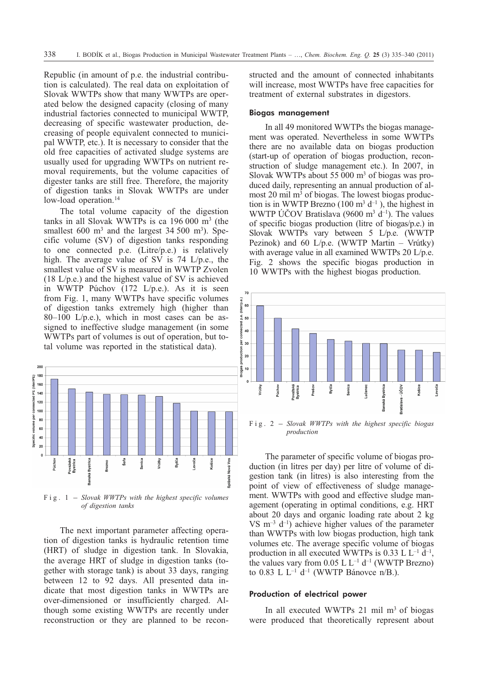Republic (in amount of p.e. the industrial contribution is calculated). The real data on exploitation of Slovak WWTPs show that many WWTPs are operated below the designed capacity (closing of many industrial factories connected to municipal WWTP, decreasing of specific wastewater production, decreasing of people equivalent connected to municipal WWTP, etc.). It is necessary to consider that the old free capacities of activated sludge systems are usually used for upgrading WWTPs on nutrient removal requirements, but the volume capacities of digester tanks are still free. Therefore, the majority of digestion tanks in Slovak WWTPs are under low-load operation.<sup>14</sup>

The total volume capacity of the digestion tanks in all Slovak WWTPs is ca 196 000 m3 (the smallest  $600 \text{ m}^3$  and the largest  $34,500 \text{ m}^3$ ). Specific volume (SV) of digestion tanks responding to one connected p.e. (Litre/p.e.) is relatively high. The average value of SV is 74 L/p.e., the smallest value of SV is measured in WWTP Zvolen (18 L/p.e.) and the highest value of SV is achieved in WWTP Púchov (172 L/p.e.). As it is seen from Fig. 1, many WWTPs have specific volumes of digestion tanks extremely high (higher than  $80-100$  L/p.e.), which in most cases can be assigned to ineffective sludge management (in some WWTPs part of volumes is out of operation, but total volume was reported in the statistical data).



*of digestion tanks*

The next important parameter affecting operation of digestion tanks is hydraulic retention time (HRT) of sludge in digestion tank. In Slovakia, the average HRT of sludge in digestion tanks (together with storage tank) is about 33 days, ranging between 12 to 92 days. All presented data indicate that most digestion tanks in WWTPs are over-dimensioned or insufficiently charged. Although some existing WWTPs are recently under reconstruction or they are planned to be reconstructed and the amount of connected inhabitants will increase, most WWTPs have free capacities for treatment of external substrates in digestors.

#### Biogas management

In all 49 monitored WWTPs the biogas management was operated. Nevertheless in some WWTPs there are no available data on biogas production (start-up of operation of biogas production, reconstruction of sludge management etc.). In 2007, in Slovak WWTPs about 55 000  $\mathrm{m}^3$  of biogas was produced daily, representing an annual production of almost 20 mil m<sup>3</sup> of biogas. The lowest biogas production is in WWTP Brezno (100 m<sup>3</sup>  $d^{-1}$ ), the highest in WWTP ÚČOV Bratislava (9600 m<sup>3</sup> d<sup>-1</sup>). The values of specific biogas production (litre of biogas/p.e.) in Slovak WWTPs vary between 5 L/p.e. (WWTP Pezinok) and 60 L/p.e. (WWTP Martin – Vrútky) with average value in all examined WWTPs 20 L/p.e. Fig. 2 shows the specific biogas production in 10 WWTPs with the highest biogas production.



*production*

The parameter of specific volume of biogas production (in litres per day) per litre of volume of digestion tank (in litres) is also interesting from the point of view of effectiveness of sludge management. WWTPs with good and effective sludge management (operating in optimal conditions, e.g. HRT about 20 days and organic loading rate about 2 kg VS  $m^{-3}$  d<sup>-1</sup>) achieve higher values of the parameter than WWTPs with low biogas production, high tank volumes etc. The average specific volume of biogas production in all executed WWTPs is 0.33 L  $L^{-1}$  d<sup>-1</sup>, the values vary from  $0.05$  L L<sup>-1</sup> d<sup>-1</sup> (WWTP Brezno) to 0.83 L L<sup>-1</sup> d<sup>-1</sup> (WWTP Bánovce n/B.).

#### Production of electrical power

In all executed WWTPs  $21$  mil m<sup>3</sup> of biogas were produced that theoretically represent about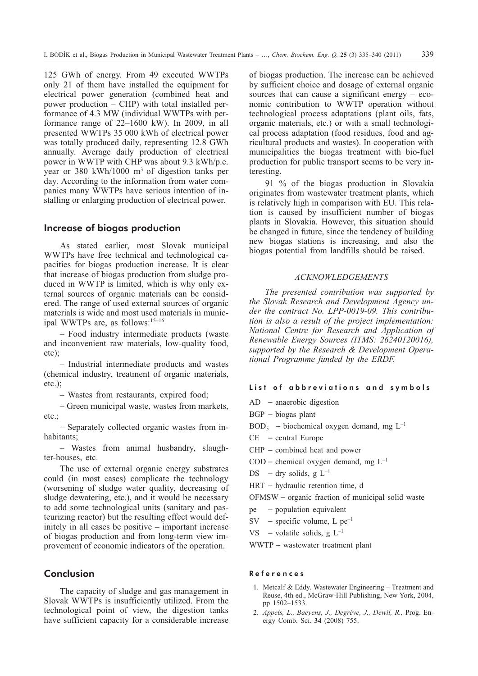125 GWh of energy. From 49 executed WWTPs only 21 of them have installed the equipment for electrical power generation (combined heat and power production – CHP) with total installed performance of 4.3 MW (individual WWTPs with performance range of 22–1600 kW). In 2009, in all presented WWTPs 35 000 kWh of electrical power was totally produced daily, representing 12.8 GWh annually. Average daily production of electrical power in WWTP with CHP was about 9.3 kWh/p.e. year or 380 kWh/1000 m<sup>3</sup> of digestion tanks per day. According to the information from water companies many WWTPs have serious intention of installing or enlarging production of electrical power.

### **Increase of biogas production**

As stated earlier, most Slovak municipal WWTPs have free technical and technological capacities for biogas production increase. It is clear that increase of biogas production from sludge produced in WWTP is limited, which is why only external sources of organic materials can be considered. The range of used external sources of organic materials is wide and most used materials in municipal WWTPs are, as follows:15–16

– Food industry intermediate products (waste and inconvenient raw materials, low-quality food, etc);

– Industrial intermediate products and wastes (chemical industry, treatment of organic materials, etc.);

– Wastes from restaurants, expired food;

– Green municipal waste, wastes from markets, etc.;

– Separately collected organic wastes from inhabitants;

– Wastes from animal husbandry, slaughter-houses, etc.

The use of external organic energy substrates could (in most cases) complicate the technology (worsening of sludge water quality, decreasing of sludge dewatering, etc.), and it would be necessary to add some technological units (sanitary and pasteurizing reactor) but the resulting effect would definitely in all cases be positive – important increase of biogas production and from long-term view improvement of economic indicators of the operation.

## **Conclusion**

The capacity of sludge and gas management in Slovak WWTPs is insufficiently utilized. From the technological point of view, the digestion tanks have sufficient capacity for a considerable increase of biogas production. The increase can be achieved by sufficient choice and dosage of external organic sources that can cause a significant energy  $-$  economic contribution to WWTP operation without technological process adaptations (plant oils, fats, organic materials, etc.) or with a small technological process adaptation (food residues, food and agricultural products and wastes). In cooperation with municipalities the biogas treatment with bio-fuel production for public transport seems to be very interesting.

91 % of the biogas production in Slovakia originates from wastewater treatment plants, which is relatively high in comparison with EU. This relation is caused by insufficient number of biogas plants in Slovakia. However, this situation should be changed in future, since the tendency of building new biogas stations is increasing, and also the biogas potential from landfills should be raised.

#### *ACKNOWLEDGEMENTS*

*The presented contribution was supported by the Slovak Research and Development Agency under the contract No. LPP-0019-09. This contribution is also a result of the project implementation: National Centre for Research and Application of Renewable Energy Sources (ITMS: 26240120016), supported by the Research & Development Operational Programme funded by the ERDF.*

# List of abbreviations and symbols List of abbreviat<br>AD -anaerobic digestion List<br>AD -<br>BGP -

- 
- $BGP biogas plant$ BGP –<br>BOD<sub>5</sub><br>CE –
- AD anaerobic digestion<br>
BGP biogas plant<br>
BOD<sub>5</sub> biochemical oxygen demand, mg L<sup>-1</sup> BOD<sub>5</sub><br>CE –<br>CHP –
- 
- CE central Europe<br>CHP combined heat<br>COD chemical oxyg  $CHP$  – combined heat and power CHP – combined heat a<br>
COD – chemical oxygen<br>
DS – dry solids, g  $L^{-1}$
- $COD$  chemical oxygen demand, mg  $L^{-1}$
- COD –<br>DS –<br>HRT DS – dry<br>HRT – hyd<br>OFMSW –
- 

HRT – hydraulic retention time, d<br>OFMSW – organic fraction of mu<br>pe – population equivalent  $OFMSW - organic fraction of municipal solid waste$ 

- population equivalent
- OFMSW organic fraction of<br>pe population equivalent<br>SV specific volume, L  $pe^{-1}$ pe –<br>SV –<br>VS –  $\text{SV}$  - sp<br>  $\text{VS}$  - vo<br>
WWTP -
- VS volatile solids, g  $L^{-1}$

WWTP - wastewater treatment plant

#### References

- 1. Metcalf & Eddy. Wastewater Engineering Treatment and Reuse, 4th ed., McGraw-Hill Publishing, New York, 2004, pp 1502–1533.
- 2. *Appels, L., Baeyens, J., Degréve, J., Dewil, R.,* Prog. Energy Comb. Sci. **34** (2008) 755.